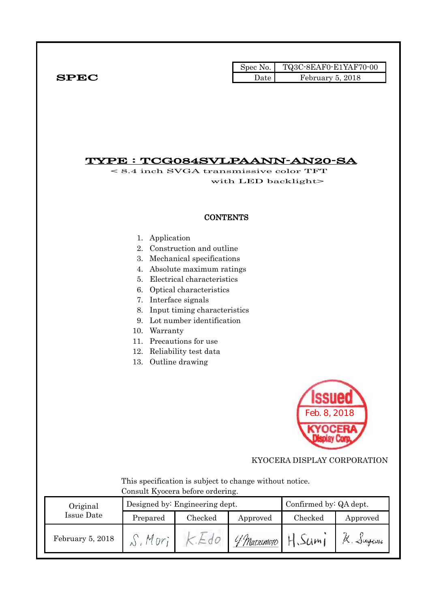|              | Spec No. $\vert$ | TQ3C-8EAF0-E1YAF70-00 |
|--------------|------------------|-----------------------|
| ${\bf SPEC}$ | Date             | February 5, 2018      |

## TYPE : TCG084SVLPAANN-AN20-SA

< 8.4 inch SVGA transmissive color TFT with LED backlight>

## **CONTENTS**

- 1. Application
- 2. Construction and outline
- 3. Mechanical specifications
- 4. Absolute maximum ratings
- 5. Electrical characteristics
- 6. Optical characteristics
- 7. Interface signals
- 8. Input timing characteristics
- 9. Lot number identification
- 10. Warranty
- 11. Precautions for use
- 12. Reliability test data
- 13. Outline drawing



KYOCERA DISPLAY CORPORATION

 This specification is subject to change without notice. Consult Kyocera before ordering.

| Original         |          | Designed by: Engineering dept. | Confirmed by: QA dept. |         |                                   |
|------------------|----------|--------------------------------|------------------------|---------|-----------------------------------|
| Issue Date       | Prepared | Checked                        | Approved               | Checked | Approved                          |
| February 5, 2018 |          |                                | 4 Matacmoto            | 50m     | $\sim$ $\omega_{\phi \omega \nu}$ |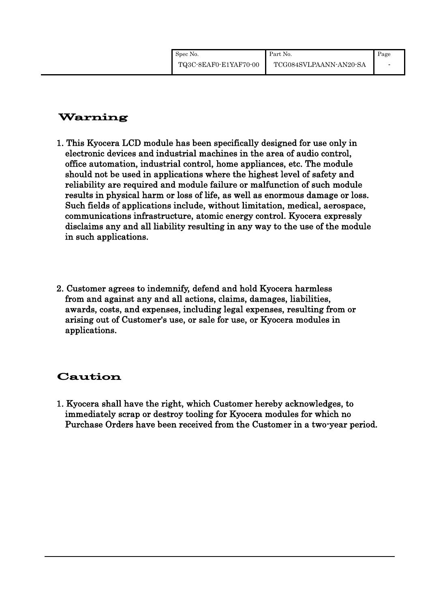# Warning

- 1. This Kyocera LCD module has been specifically designed for use only in electronic devices and industrial machines in the area of audio control, office automation, industrial control, home appliances, etc. The module should not be used in applications where the highest level of safety and reliability are required and module failure or malfunction of such module results in physical harm or loss of life, as well as enormous damage or loss. Such fields of applications include, without limitation, medical, aerospace, communications infrastructure, atomic energy control. Kyocera expressly disclaims any and all liability resulting in any way to the use of the module in such applications.
- 2. Customer agrees to indemnify, defend and hold Kyocera harmless from and against any and all actions, claims, damages, liabilities, awards, costs, and expenses, including legal expenses, resulting from or arising out of Customer's use, or sale for use, or Kyocera modules in applications.

# Caution

1. Kyocera shall have the right, which Customer hereby acknowledges, to immediately scrap or destroy tooling for Kyocera modules for which no Purchase Orders have been received from the Customer in a two-year period.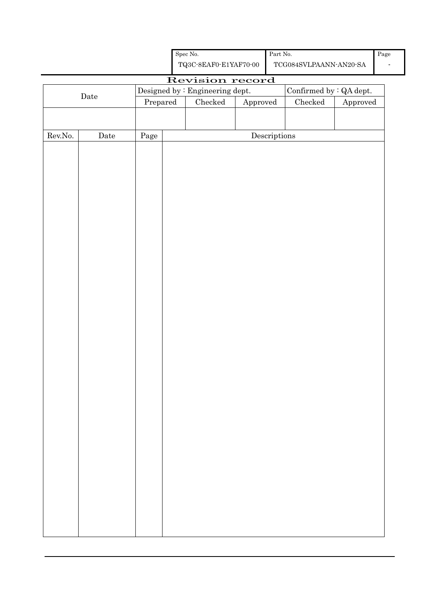| Spec No.              |
|-----------------------|
| TQ3C-8EAF0-E1YAF70-00 |

# Revision record Date Designed by : Engineering dept. Confirmed by : QA dept.<br>Prepared Checked Approved Checked Approved Approved Rev.No. Date Page Page Descriptions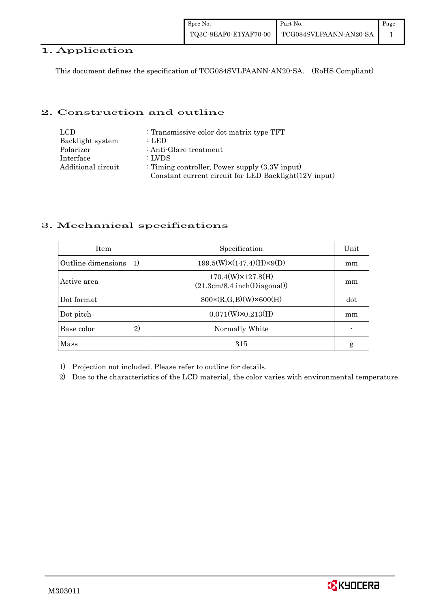## 1. Application

This document defines the specification of TCG084SVLPAANN-AN20-SA. (RoHS Compliant)

## 2. Construction and outline

| LCD.               | : Transmissive color dot matrix type TFT              |
|--------------------|-------------------------------------------------------|
| Backlight system   | : LED                                                 |
| Polarizer          | : Anti-Glare treatment                                |
| Interface          | : LVDS                                                |
| Additional circuit | : Timing controller, Power supply $(3.3V)$ input)     |
|                    | Constant current circuit for LED Backlight(12V input) |

## 3. Mechanical specifications

| <b>Item</b>                         | Specification                                            | Unit |
|-------------------------------------|----------------------------------------------------------|------|
| Outline dimensions<br><sup>1)</sup> | $199.5(W)\times(147.4)(H)\times9(D)$                     | mm   |
| Active area                         | $170.4(W)\times 127.8(H)$<br>(21.3cm/8.4 inch(Diagonal)) | mm   |
| Dot format                          | $800 \times (R, G, B)(W) \times 600(H)$                  | dot  |
| Dot pitch                           | $0.071(W)\times0.213(H)$                                 | mm   |
| 2)<br>Base color                    | Normally White                                           |      |
| <b>Mass</b>                         | 315                                                      | g    |

1) Projection not included. Please refer to outline for details.

2) Due to the characteristics of the LCD material, the color varies with environmental temperature.

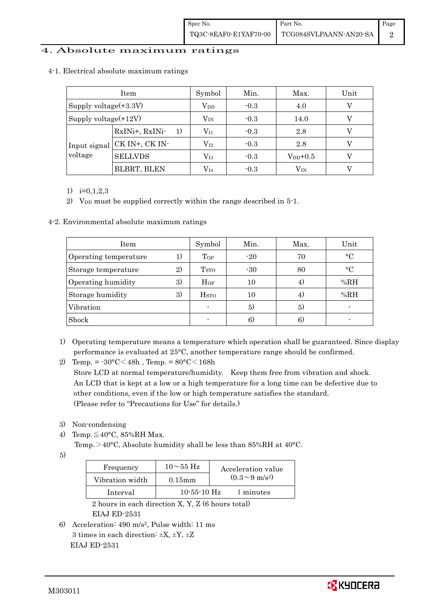## 4. Absolute maximum ratings

| Item                    |                      | Symbol           | Min.   | Max.         | Unit |
|-------------------------|----------------------|------------------|--------|--------------|------|
| Supply voltage(+3.3V)   |                      | $\rm V_{DD}$     | $-0.3$ | 4.0          |      |
| Supply voltage(+12V)    |                      | $\rm V_{\rm IN}$ | $-0.3$ | 14.0         |      |
| Input signal<br>voltage | RxINi+, RxINi-<br>1) | $\rm V_{11}$     | $-0.3$ | 2.8          |      |
|                         | CK IN+, CK IN-       | $\rm V_{I2}$     | $-0.3$ | 2.8          |      |
|                         | <b>SELLVDS</b>       | $\rm V_{I3}$     | $-0.3$ | $V_{DD}+0.5$ |      |
|                         | <b>BLBRT, BLEN</b>   | $\rm V_{I4}$     | $-0.3$ | $\rm V_{IN}$ |      |

#### 4-1. Electrical absolute maximum ratings

1) i=0,1,2,3

2) V<sub>DD</sub> must be supplied correctly within the range described in 5-1.

4-2. Environmental absolute maximum ratings

| Item                  |    | Symbol                  | Min.  | Max. | Unit        |
|-----------------------|----|-------------------------|-------|------|-------------|
| Operating temperature | 1) | Top                     | $-20$ | 70   | $\circ$ C   |
| Storage temperature   | 2) | T <sub>STO</sub>        | $-30$ | 80   | $^{\circ}C$ |
| Operating humidity    | 3) | Hop                     | 10    | 4)   | %RH         |
| Storage humidity      | 3) | <b>H</b> <sub>sto</sub> | 10    | 4)   | %RH         |
| Vibration             |    |                         | 5)    | 5)   |             |
| Shock                 |    |                         | 6)    | 6.   |             |

- 1) Operating temperature means a temperature which operation shall be guaranteed. Since display performance is evaluated at 25°C, another temperature range should be confirmed.
- 2) Temp. =  $-30^{\circ}$ C $<$ 48h, Temp. =  $80^{\circ}$ C $<$ 168h Store LCD at normal temperature/humidity. Keep them free from vibration and shock. An LCD that is kept at a low or a high temperature for a long time can be defective due to other conditions, even if the low or high temperature satisfies the standard. (Please refer to "Precautions for Use" for details.)
- 3) Non-condensing
- 4) Temp. $\leq 40^{\circ}$ C, 85%RH Max.

Temp.>40°C, Absolute humidity shall be less than 85%RH at 40°C.

5)

| Frequency       | $10\sim$ 55 Hz | Acceleration value         |
|-----------------|----------------|----------------------------|
| Vibration width | $0.15$ mm      | $(0.3{\sim}9~{\rm m/s^2})$ |
| Interval        | $10-55-10$ Hz  | 1 minutes                  |

 2 hours in each direction X, Y, Z (6 hours total) EIAJ ED-2531

6) Acceleration: 490 m/s2, Pulse width: 11 ms 3 times in each direction:  $\pm X$ ,  $\pm Y$ ,  $\pm Z$ EIAJ ED-2531

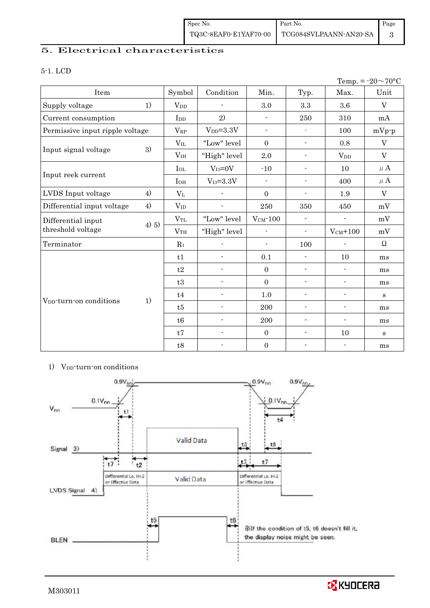## 5. Electrical characteristics

#### 5-1. LCD

|                                         |          |                       |                 |                  |                          |                          | Temp. = $-20 \sim 70$ °C |
|-----------------------------------------|----------|-----------------------|-----------------|------------------|--------------------------|--------------------------|--------------------------|
| Item                                    |          | Symbol                | Condition       | Min.             | Typ.                     | Max.                     | Unit                     |
| Supply voltage                          | 1)       | <b>V<sub>DD</sub></b> |                 | 3.0              | 3.3                      | 3.6                      | $\mathbf V$              |
| Current consumption                     |          | I <sub>DD</sub>       | 2)              | $\blacksquare$   | 250                      | 310                      | mA                       |
| Permissive input ripple voltage         |          | $V_{RP}$              | $V_{DD} = 3.3V$ | $\blacksquare$   | $\sim$                   | 100                      | $mVp-p$                  |
|                                         |          | $V_{IL}$              | "Low" level     | $\Omega$         | $\blacksquare$           | 0.8                      | $\rm V$                  |
| Input signal voltage                    | 3)       | V <sub>IH</sub>       | "High" level    | 2.0              | $\overline{\phantom{a}}$ | <b>V</b> <sub>D</sub>    | $\mathbf V$              |
|                                         |          | $I_{OL}$              | $V_{I3}=0V$     | $-10$            | $\blacksquare$           | 10                       | $\mu$ A                  |
| Input reek current                      |          | $I_{OH}$              | $V_{I3} = 3.3V$ | $\blacksquare$   | $\overline{\phantom{a}}$ | 400                      | $\mu$ A                  |
| LVDS Input voltage                      | 4)       | $V_{L}$               |                 | $\overline{0}$   | $\blacksquare$           | 1.9                      | $\mathbf V$              |
| Differential input voltage              | 4)       | $V_{ID}$              | $\overline{a}$  | 250              | 350                      | 450                      | mV                       |
| Differential input<br>threshold voltage |          | $V_{TL}$              | "Low" level     | $V_{CM}$ -100    | $\overline{\phantom{a}}$ |                          | mV                       |
|                                         | $(4)$ 5) | V <sub>TH</sub>       | "High" level    | $\blacksquare$   | $\blacksquare$           | $V_{CM}$ +100            | mV                       |
| Terminator                              |          | $R_1$                 |                 | $\blacksquare$   | 100                      |                          | $\Omega$                 |
|                                         |          | t1                    | $\overline{a}$  | 0.1              | $\blacksquare$           | 10                       | ms                       |
|                                         |          | t2                    |                 | $\boldsymbol{0}$ | $\blacksquare$           | $\blacksquare$           | ms                       |
|                                         |          | t3                    |                 | $\overline{0}$   | $\blacksquare$           | $\overline{\phantom{a}}$ | ms                       |
|                                         |          | t4                    |                 | 1.0              | $\overline{\phantom{a}}$ | $\overline{\phantom{a}}$ | $\bf S$                  |
| V <sub>DD</sub> -turn-on conditions     | 1)       | t5                    |                 | 200              | $\blacksquare$           | $\overline{\phantom{a}}$ | ms                       |
|                                         |          | t6                    | $\overline{a}$  | 200              | $\blacksquare$           | $\overline{\phantom{a}}$ | ms                       |
|                                         |          | t7                    | $\overline{a}$  | $\boldsymbol{0}$ | $\overline{\phantom{a}}$ | 10                       | $\bf S$                  |
|                                         |          | t8                    | $\overline{a}$  | $\boldsymbol{0}$ | $\blacksquare$           | $\blacksquare$           | ms                       |

#### 1) V<sub>DD</sub>-turn-on conditions



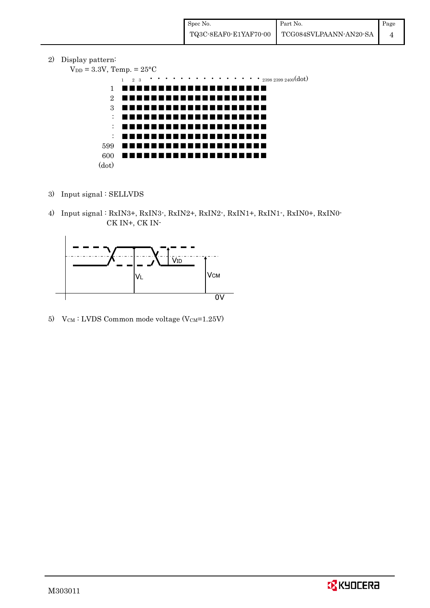2) Display pattern:

```
V_{DD} = 3.3V, Temp. = 25^{\circ}C
```


- 3) Input signal : SELLVDS
- 4) Input signal : RxIN3+, RxIN3-, RxIN2+, RxIN2-, RxIN1+, RxIN1-, RxIN0+, RxIN0- CK IN+, CK IN-



5) V $_{CM}$ : LVDS Common mode voltage (V $_{CM}$ =1.25V)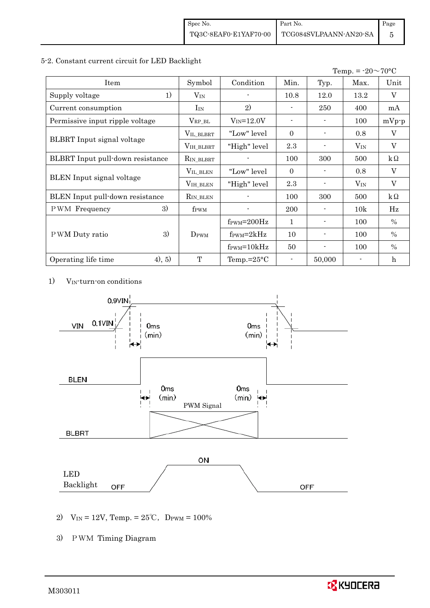#### 5-2. Constant current circuit for LED Backlight

|                                  |                  |                                  | Temp. = $-20 \sim 70$ °C     |                |          |                |
|----------------------------------|------------------|----------------------------------|------------------------------|----------------|----------|----------------|
| Item                             | Symbol           | Condition                        | Min.                         | Typ.           | Max.     | Unit           |
| 1)<br>Supply voltage             | $V_{\rm IN}$     |                                  | 10.8                         | 12.0           | 13.2     | V              |
| Current consumption              | $I_{IN}$         | 2)                               |                              | 250            | 400      | mA             |
| Permissive input ripple voltage  | $V_{\rm RP\_BL}$ | $V_{IN} = 12.0V$                 | $\qquad \qquad \blacksquare$ |                | 100      | $mVp-p$        |
|                                  | VIL_BLBRT        | "Low" level"                     | $\Omega$                     | $\overline{a}$ | 0.8      | $\overline{V}$ |
| BLBRT Input signal voltage       | VIH_BLBRT        | "High" level                     | 2.3                          |                | $V_{IN}$ | V              |
| BLBRT Input pull-down resistance | RIN_BLBRT        |                                  | 100                          | 300            | 500      | $k\Omega$      |
|                                  | VIL_BLEN         | "Low" level                      | $\Omega$                     |                | 0.8      | V              |
| <b>BLEN</b> Input signal voltage | VIH_BLEN         | "High" level                     | 2.3                          |                | $V_{IN}$ | V              |
| BLEN Input pull-down resistance  | $R_{IN\_BLEN}$   |                                  | 100                          | 300            | 500      | $k\Omega$      |
| 3)<br><b>PWM</b> Frequency       | f <sub>PWM</sub> |                                  | 200                          |                | 10k      | Hz             |
|                                  |                  | $f_{\text{PWM}} = 200 \text{Hz}$ | $\mathbf{1}$                 | Ξ.             | 100      | $\%$           |
| 3)<br>P WM Duty ratio            | $D_{\rm PWM}$    | $f_{\rm PWM} = 2kHz$             | 10                           | $\blacksquare$ | 100      | $\frac{0}{0}$  |
|                                  |                  | $f_{\text{PWM}} = 10kHz$         | 50                           |                | 100      | $\%$           |
| (4), 5)<br>Operating life time   | T                | Temp.= $25^{\circ}$ C            |                              | 50,000         |          | h              |

1) VIN-turn-on conditions



- 2) V<sub>IN</sub> = 12V, Temp. =  $25^{\circ}$ C, D<sub>PWM</sub> = 100%
- 3) PWM Timing Diagram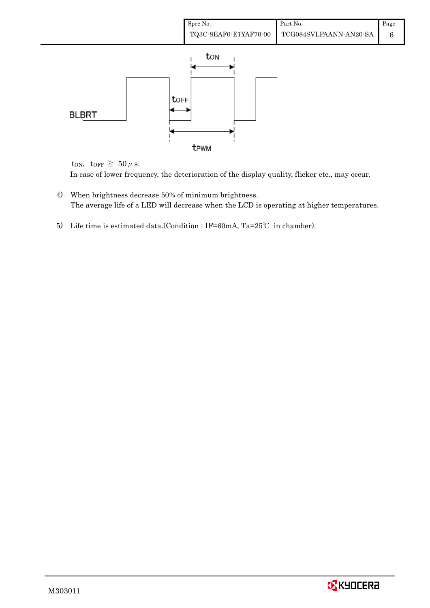

ton, torr  $\geq 50 \,\mu$  s.

In case of lower frequency, the deterioration of the display quality, flicker etc., may occur.

- 4) When brightness decrease 50% of minimum brightness. The average life of a LED will decrease when the LCD is operating at higher temperatures.
- 5) Life time is estimated data.(Condition : IF=60mA, Ta=25℃ in chamber).

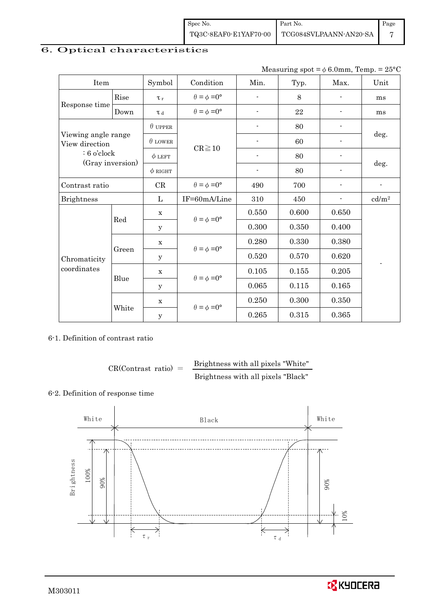| Spec No.              | Part No.               | Page |
|-----------------------|------------------------|------|
| TQ3C-8EAF0-E1YAF70-00 | TCG084SVLPAANN-AN20-SA |      |

## 6. Optical characteristics

| Measuring spot = $\phi$ 6.0mm, Temp. = 25°C |  |
|---------------------------------------------|--|
|                                             |  |

| Item                                  |       | Symbol         | Condition                   | Min.           | Typ.  | Max.                     | Unit                     |  |
|---------------------------------------|-------|----------------|-----------------------------|----------------|-------|--------------------------|--------------------------|--|
|                                       | Rise  | $\tau_r$       | $\theta = \phi = 0^{\circ}$ | ÷              | 8     |                          | ms                       |  |
| Response time                         | Down  | $\tau$ d       | $\theta = \phi = 0^{\circ}$ | $\overline{a}$ | 22    |                          | ms                       |  |
|                                       |       | $\theta$ upper |                             |                | 80    |                          |                          |  |
| Viewing angle range<br>View direction |       | $\theta$ LOWER |                             |                | 60    |                          | deg.                     |  |
| $: 6$ o'clock                         |       | $\phi$ LEFT    | $CR \ge 10$                 | $\blacksquare$ | 80    | $\overline{\phantom{a}}$ |                          |  |
| (Gray inversion)                      |       | $\phi$ RIGHT   |                             | $\overline{a}$ | 80    |                          | deg.                     |  |
| Contrast ratio                        |       | CR             | $\theta = \phi = 0^{\circ}$ | 490            | 700   |                          | $\overline{\phantom{a}}$ |  |
| <b>Brightness</b>                     |       | L              | IF=60mA/Line                | 310            | 450   | $\overline{\phantom{a}}$ | cd/m <sup>2</sup>        |  |
|                                       | Red   | $\mathbf X$    | $\theta = \phi = 0^{\circ}$ | 0.550          | 0.600 | 0.650                    |                          |  |
|                                       |       | у              |                             | 0.300          | 0.350 | 0.400                    |                          |  |
|                                       |       | $\mathbf X$    |                             | 0.280          | 0.330 | 0.380                    |                          |  |
| Chromaticity                          | Green | y              | $\theta = \phi = 0^{\circ}$ | 0.520          | 0.570 | 0.620                    |                          |  |
| coordinates                           |       | $\mathbf X$    |                             | 0.105          | 0.155 | 0.205                    |                          |  |
|                                       | Blue  | у              | $\theta = \phi = 0^{\circ}$ | 0.065          | 0.115 | 0.165                    |                          |  |
|                                       |       | $\mathbf X$    |                             | 0.250          | 0.300 | 0.350                    |                          |  |
|                                       | White | $\mathbf y$    | $\theta = \phi = 0^{\circ}$ | 0.265          | 0.315 | 0.365                    |                          |  |

6-1. Definition of contrast ratio

 $CR(Contrast ratio) =$  Brightness with all pixels "White" Brightness with all pixels "Black"

#### 6-2. Definition of response time



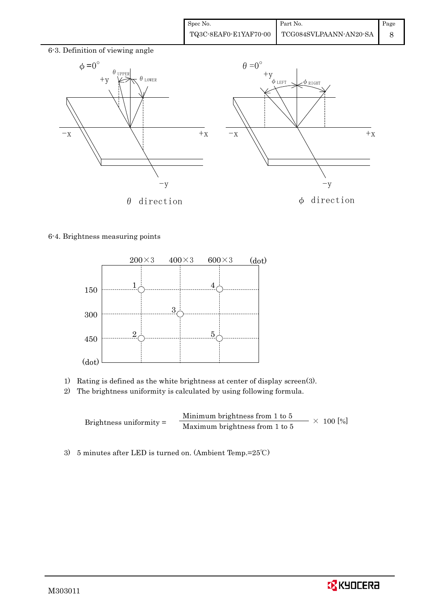

## 6-4. Brightness measuring points



- 1) Rating is defined as the white brightness at center of display screen(3).
- 2) The brightness uniformity is calculated by using following formula.

Brightness uniformity = Minimum brightness from 1 to 5  $\times$  100 [%]<br>Maximum brightness from 1 to 5

3) 5 minutes after LED is turned on. (Ambient Temp.=25℃)

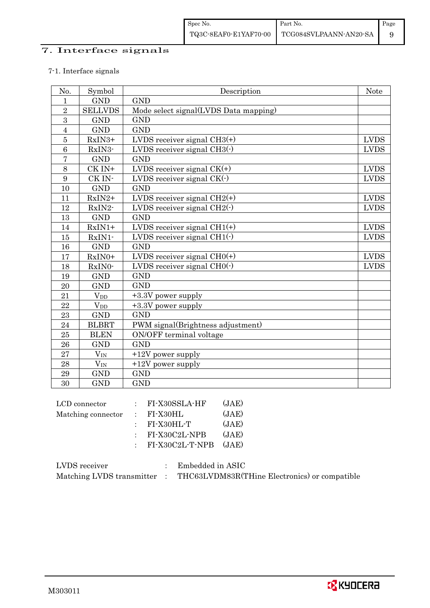## 7. Interface signals

## 7-1. Interface signals

| No.            | Symbol                 | Description                           | <b>Note</b> |
|----------------|------------------------|---------------------------------------|-------------|
| $\mathbf{1}$   | <b>GND</b>             | <b>GND</b>                            |             |
| $\overline{2}$ | <b>SELLVDS</b>         | Mode select signal(LVDS Data mapping) |             |
| 3              | <b>GND</b>             | <b>GND</b>                            |             |
| $\overline{4}$ | <b>GND</b>             | <b>GND</b>                            |             |
| $\overline{5}$ | RxIN3+                 | LVDS receiver signal $CH3(+)$         | <b>LVDS</b> |
| 6              | RxIN3-                 | LVDS receiver signal $CH3()$          | <b>LVDS</b> |
| $\overline{7}$ | <b>GND</b>             | <b>GND</b>                            |             |
| 8              | CK IN+                 | LVDS receiver signal $CK(+)$          | <b>LVDS</b> |
| 9              | CK IN-                 | LVDS receiver signal $CK(\cdot)$      | <b>LVDS</b> |
| 10             | <b>GND</b>             | <b>GND</b>                            |             |
| 11             | $RxIN2+$               | LVDS receiver signal $CH2(+)$         | <b>LVDS</b> |
| 12             | RxIN2-                 | LVDS receiver signal $CH2(\cdot)$     | <b>LVDS</b> |
| 13             | <b>GND</b>             | <b>GND</b>                            |             |
| 14             | $RxIN1+$               | LVDS receiver signal $CH1(+)$         | <b>LVDS</b> |
| 15             | RxIN1-                 | LVDS receiver signal $CH1(\cdot)$     | <b>LVDS</b> |
| 16             | <b>GND</b>             | <b>GND</b>                            |             |
| 17             | RxIN0+                 | LVDS receiver signal $CHO(+)$         | <b>LVDS</b> |
| 18             | RxIN0-                 | LVDS receiver signal $CHO(·)$         | <b>LVDS</b> |
| 19             | <b>GND</b>             | <b>GND</b>                            |             |
| 20             | <b>GND</b>             | <b>GND</b>                            |             |
| 21             | <b>V</b> <sub>DD</sub> | +3.3V power supply                    |             |
| 22             | $V_{DD}$               | +3.3V power supply                    |             |
| 23             | <b>GND</b>             | <b>GND</b>                            |             |
| 24             | <b>BLBRT</b>           | PWM signal(Brightness adjustment)     |             |
| 25             | <b>BLEN</b>            | ON/OFF terminal voltage               |             |
| 26             | <b>GND</b>             | <b>GND</b>                            |             |
| 27             | $V_{\rm IN}$           | $+12V$ power supply                   |             |
| 28             | $V_{\rm IN}$           | $+12V$ power supply                   |             |
| 29             | <b>GND</b>             | <b>GND</b>                            |             |
| 30             | <b>GND</b>             | <b>GND</b>                            |             |

| LCD connector      | $:$ FI-X30SSLA-HF     | (JAE) |
|--------------------|-----------------------|-------|
| Matching connector | $\therefore$ FI-X30HL | (JAE) |
|                    | $:$ FI-X30HL-T        | (JAE) |
|                    | $:$ FI-X30C2L-NPB     | (JAE) |
|                    | $:$ FI-X30C2L-T-NPB   | (JAE) |
|                    |                       |       |

| LVDS receiver             | Embedded in ASIC                              |
|---------------------------|-----------------------------------------------|
| Matching LVDS transmitter | THC63LVDM83R(THine Electronics) or compatible |

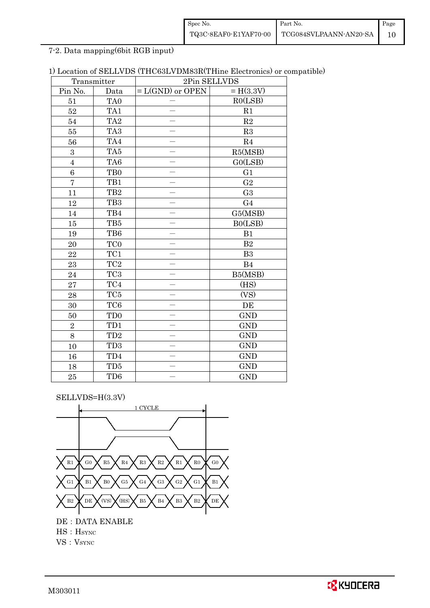| Spec No. | Part No.                                       | Page |
|----------|------------------------------------------------|------|
|          | TQ3C-8EAF0-E1YAF70-00   TCG084SVLPAANN-AN20-SA |      |

7-2. Data mapping(6bit RGB input)

| 1) Location of SELLVDS (THC63LVDM83R(THine Electronics) or compatible) |  |
|------------------------------------------------------------------------|--|
|------------------------------------------------------------------------|--|

| Transmitter    |                 | 2Pin SELLVDS       |                |  |  |
|----------------|-----------------|--------------------|----------------|--|--|
| Pin No.        | Data            | $= L(GND)$ or OPEN | $= H(3.3V)$    |  |  |
| 51             | TA <sub>0</sub> |                    | RO(LSB)        |  |  |
| 52             | TA1             |                    | R1             |  |  |
| 54             | TA <sub>2</sub> |                    | $\mathbf{R}2$  |  |  |
| 55             | TA <sub>3</sub> |                    | R3             |  |  |
| 56             | TA4             |                    | R4             |  |  |
| 3              | TA5             |                    | R5(MSB)        |  |  |
| $\overline{4}$ | TA <sub>6</sub> |                    | GO(LSB)        |  |  |
| 6              | TB <sub>0</sub> |                    | G1             |  |  |
| $\overline{7}$ | TB1             |                    | G <sub>2</sub> |  |  |
| 11             | TB <sub>2</sub> |                    | G <sub>3</sub> |  |  |
| 12             | TB <sub>3</sub> |                    | G <sub>4</sub> |  |  |
| $14\,$         | TB4             |                    | G5(MSB)        |  |  |
| 15             | TB5             |                    | B0(LSB)        |  |  |
| 19             | TB6             |                    | B1             |  |  |
| $20\,$         | TC <sub>0</sub> |                    | $\mathbf{B}2$  |  |  |
| 22             | TC1             |                    | B <sub>3</sub> |  |  |
| 23             | $\rm TC2$       |                    | B4             |  |  |
| 24             | TC <sub>3</sub> |                    | B5(MSB)        |  |  |
| 27             | $\rm TC4$       |                    | (HS)           |  |  |
| 28             | TC5             |                    | (VS)           |  |  |
| 30             | TC <sub>6</sub> |                    | DE             |  |  |
| 50             | TD <sub>0</sub> |                    | <b>GND</b>     |  |  |
| $\sqrt{2}$     | TD1             |                    | <b>GND</b>     |  |  |
| 8              | TD <sub>2</sub> |                    | <b>GND</b>     |  |  |
| 10             | TD <sub>3</sub> |                    | <b>GND</b>     |  |  |
| 16             | TD4             |                    | <b>GND</b>     |  |  |
| 18             | TD5             |                    | <b>GND</b>     |  |  |
| 25             | TD6             |                    | <b>GND</b>     |  |  |

SELLVDS=H(3.3V)



VS: V<sub>SYNC</sub>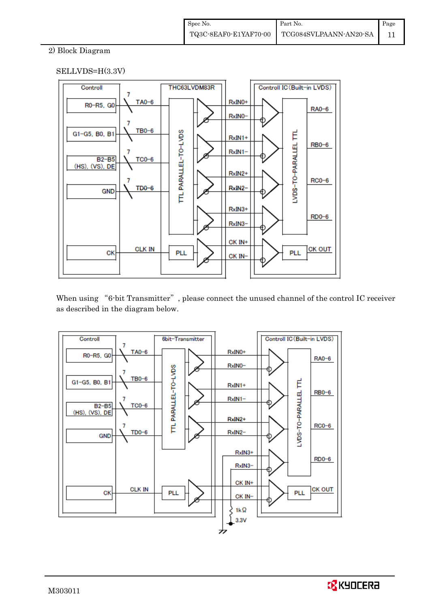## 2) Block Diagram

## SELLVDS=H(3.3V)



When using "6-bit Transmitter", please connect the unused channel of the control IC receiver as described in the diagram below.



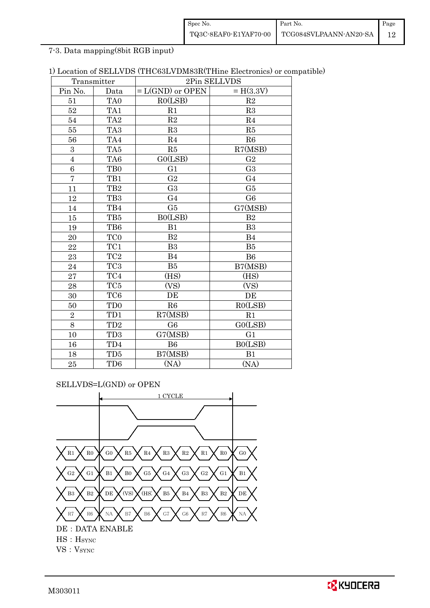| Spec No.              | Part No.               | Page |
|-----------------------|------------------------|------|
| TQ3C-8EAF0-E1YAF70-00 | TCG084SVLPAANN-AN20-SA |      |

7-3. Data mapping(8bit RGB input)

| 1) Location of SELLVDS (THC63LVDM83R(THine Electronics) or compatible) |  |  |
|------------------------------------------------------------------------|--|--|
|------------------------------------------------------------------------|--|--|

| Transmitter             |                 | 2Pin SELLVDS       |                |  |
|-------------------------|-----------------|--------------------|----------------|--|
| Pin No.                 | Data            | $= L(GND)$ or OPEN | $= H(3.3V)$    |  |
| 51                      | TA <sub>0</sub> | R0(LSB)            | R2             |  |
| 52                      | TA1             | R1                 | R3             |  |
| 54                      | TA <sub>2</sub> | R2                 | R <sub>4</sub> |  |
| 55                      | TA <sub>3</sub> | R3                 | R5             |  |
| 56                      | TA4             | R <sub>4</sub>     | R6             |  |
| 3                       | TA <sub>5</sub> | R5                 | R7(MSB)        |  |
| $\overline{\mathbf{4}}$ | TA <sub>6</sub> | GO(LSB)            | G <sub>2</sub> |  |
| 6                       | TB <sub>0</sub> | G1                 | G <sub>3</sub> |  |
| $\overline{7}$          | TB1             | G <sub>2</sub>     | G <sub>4</sub> |  |
| 11                      | TB <sub>2</sub> | G <sub>3</sub>     | G5             |  |
| 12                      | TB <sub>3</sub> | G <sub>4</sub>     | G <sub>6</sub> |  |
| 14                      | TB4             | G5                 | G7(MSB)        |  |
| 15                      | TB5             | B0(LSB)            | B <sub>2</sub> |  |
| 19                      | TB6             | B1                 | B <sub>3</sub> |  |
| 20                      | TC <sub>0</sub> | B <sub>2</sub>     | B4             |  |
| 22                      | TC1             | B3                 | B5             |  |
| 23                      | TC <sub>2</sub> | B <sub>4</sub>     | B <sub>6</sub> |  |
| 24                      | TC <sub>3</sub> | B5                 | B7(MSB)        |  |
| 27                      | TC4             | (HS)               | (HS)           |  |
| 28                      | TC <sub>5</sub> | (VS)               | (VS)           |  |
| 30                      | TC <sub>6</sub> | DE                 | DE             |  |
| 50                      | TD <sub>0</sub> | R6                 | RO(LSB)        |  |
| $\overline{2}$          | TD1             | R7(MSB)            | R1             |  |
| 8                       | TD <sub>2</sub> | G <sub>6</sub>     | G0(LSB)        |  |
| 10                      | TD <sub>3</sub> | G7(MSB)            | G <sub>1</sub> |  |
| 16                      | TD4             | <b>B6</b>          | B0(LSB)        |  |
| 18                      | TD <sub>5</sub> | B7(MSB)            | B1             |  |
| 25                      | TD <sub>6</sub> | (NA)               | (NA)           |  |

SELLVDS=L(GND) or OPEN

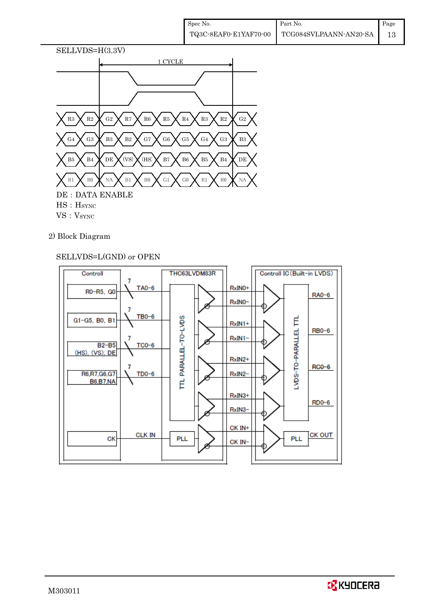

## 2) Block Diagram

## SELLVDS=L(GND) or OPEN



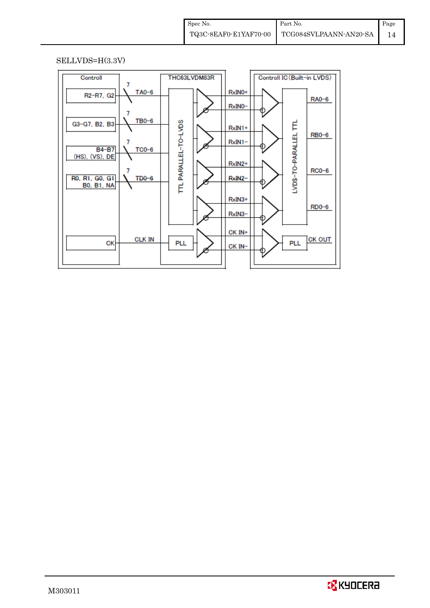## SELLVDS=H(3.3V)



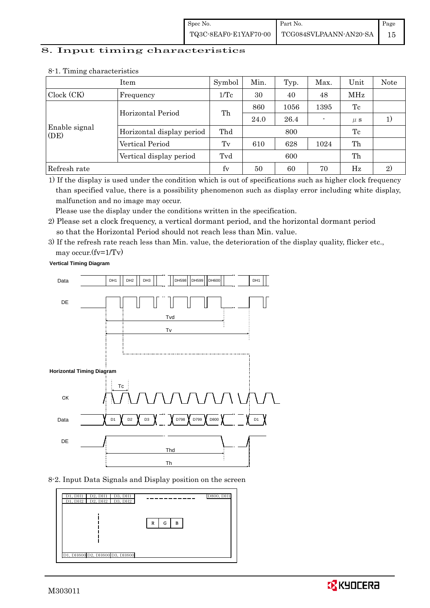| Spec No. | Part No.                                                                                                              | Page |
|----------|-----------------------------------------------------------------------------------------------------------------------|------|
|          | $\left. {\color{red}\textbf{TQ3C-8EAF0-E1YAF70-00} \quad} \right  {\color{red}\textbf{TCG084SVLPAANN-AN20-SA} \quad}$ |      |

#### 8. Input timing characteristics

|                       | Item                      | Symbol          | Min. | Typ. | Max. | Unit    | Note |
|-----------------------|---------------------------|-----------------|------|------|------|---------|------|
| Clock (CK)            | Frequency                 | $1/\mathrm{Tc}$ | 30   | 40   | 48   | MHz     |      |
|                       | Horizontal Period         | Th              | 860  | 1056 | 1395 | Tc      |      |
|                       |                           |                 | 24.0 | 26.4 |      | $\mu$ s | 1)   |
| Enable signal<br>(DE) | Horizontal display period | Thd             |      | 800  |      | Tc      |      |
|                       | Vertical Period           | Tv              | 610  | 628  | 1024 | Th      |      |
|                       | Vertical display period   | Tvd             |      | 600  |      | Th      |      |
| Refresh rate          |                           | fy              | 50   | 60   | 70   | Hz      | 2)   |

#### 8-1. Timing characteristics

1) If the display is used under the condition which is out of specifications such as higher clock frequency than specified value, there is a possibility phenomenon such as display error including white display, malfunction and no image may occur.

Please use the display under the conditions written in the specification.

- 2) Please set a clock frequency, a vertical dormant period, and the horizontal dormant period so that the Horizontal Period should not reach less than Min. value.
- 3) If the refresh rate reach less than Min. value, the deterioration of the display quality, flicker etc., may occur.(fv=1/Tv)

**Vertical Timing Diagram**



8-2. Input Data Signals and Display position on the screen



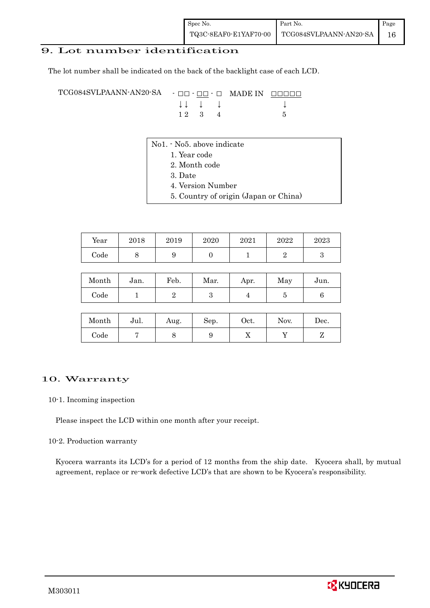## 9. Lot number identification

The lot number shall be indicated on the back of the backlight case of each LCD.

TCG084SVLPAANN-AN20-SA - □□ - □□ - □ MADE IN □□□□□ ↓ ↓ ↓ ↓ ↓  $1 2 3 4 5$ 

- No1. No5. above indicate
	- 1. Year code
		- 2. Month code
		- 3. Date
		- 4. Version Number
		- 5. Country of origin (Japan or China)

| Year | 2018 | 2019 | 2020 | 2021 | 2022 | 2023 |
|------|------|------|------|------|------|------|
| Code |      | ັ    |      |      |      |      |

| Month | Jan. | Feb. | Mar. | Apr. | May | Jun. |
|-------|------|------|------|------|-----|------|
| Code  |      |      |      |      |     |      |

| Month | Jul. | Aug. | Sep. | Oct. | Nov. | Dec. |
|-------|------|------|------|------|------|------|
| Code  |      | ◡    |      | 77   |      |      |

#### 10. Warranty

10-1. Incoming inspection

Please inspect the LCD within one month after your receipt.

#### 10-2. Production warranty

 Kyocera warrants its LCD's for a period of 12 months from the ship date. Kyocera shall, by mutual agreement, replace or re-work defective LCD's that are shown to be Kyocera's responsibility.

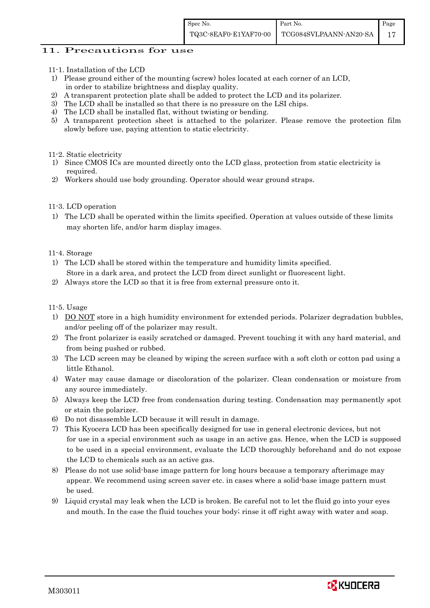## 11. Precautions for use

- 11-1. Installation of the LCD
- 1) Please ground either of the mounting (screw) holes located at each corner of an LCD, in order to stabilize brightness and display quality.
- 2) A transparent protection plate shall be added to protect the LCD and its polarizer.
- 3) The LCD shall be installed so that there is no pressure on the LSI chips.
- 4) The LCD shall be installed flat, without twisting or bending.
- 5) A transparent protection sheet is attached to the polarizer. Please remove the protection film slowly before use, paying attention to static electricity.

#### 11-2. Static electricity

- 1) Since CMOS ICs are mounted directly onto the LCD glass, protection from static electricity is required.
- 2) Workers should use body grounding. Operator should wear ground straps.

## 11-3. LCD operation

1) The LCD shall be operated within the limits specified. Operation at values outside of these limits may shorten life, and/or harm display images.

## 11-4. Storage

- 1) The LCD shall be stored within the temperature and humidity limits specified. Store in a dark area, and protect the LCD from direct sunlight or fluorescent light.
- 2) Always store the LCD so that it is free from external pressure onto it.

## 11-5. Usage

- 1) DO NOT store in a high humidity environment for extended periods. Polarizer degradation bubbles, and/or peeling off of the polarizer may result.
- 2) The front polarizer is easily scratched or damaged. Prevent touching it with any hard material, and from being pushed or rubbed.
- 3) The LCD screen may be cleaned by wiping the screen surface with a soft cloth or cotton pad using a little Ethanol.
- 4) Water may cause damage or discoloration of the polarizer. Clean condensation or moisture from any source immediately.
- 5) Always keep the LCD free from condensation during testing. Condensation may permanently spot or stain the polarizer.
- 6) Do not disassemble LCD because it will result in damage.
- 7) This Kyocera LCD has been specifically designed for use in general electronic devices, but not for use in a special environment such as usage in an active gas. Hence, when the LCD is supposed to be used in a special environment, evaluate the LCD thoroughly beforehand and do not expose the LCD to chemicals such as an active gas.
- 8) Please do not use solid-base image pattern for long hours because a temporary afterimage may appear. We recommend using screen saver etc. in cases where a solid-base image pattern must be used.
- 9) Liquid crystal may leak when the LCD is broken. Be careful not to let the fluid go into your eyes and mouth. In the case the fluid touches your body; rinse it off right away with water and soap.

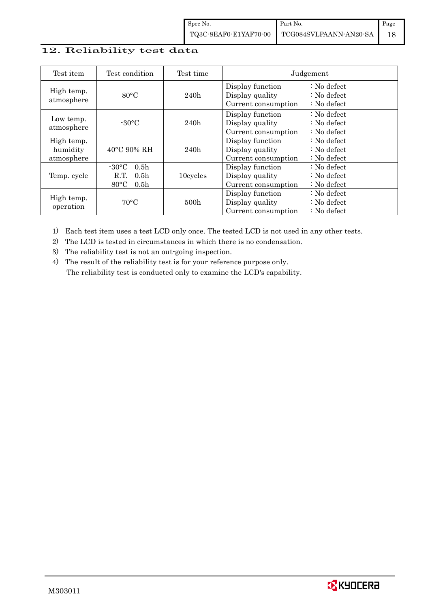## 12. Reliability test data

| Test item                            | Test condition                                                                                       | Test time        |                                                            | Judgement                                                                  |
|--------------------------------------|------------------------------------------------------------------------------------------------------|------------------|------------------------------------------------------------|----------------------------------------------------------------------------|
| High temp.<br>atmosphere             | $80^{\circ}$ C                                                                                       | 240h             | Display function<br>Display quality<br>Current consumption | $\therefore$ No defect<br>$\therefore$ No defect<br>$\therefore$ No defect |
| Low temp.<br>atmosphere              | $-30$ °C                                                                                             | 240h             | Display function<br>Display quality<br>Current consumption | $\therefore$ No defect<br>$\therefore$ No defect<br>$\therefore$ No defect |
| High temp.<br>humidity<br>atmosphere | $40^{\circ}$ C 90% RH                                                                                | 240h             | Display function<br>Display quality<br>Current consumption | : No defect<br>$\therefore$ No defect<br>$: No$ defect                     |
| Temp. cycle                          | $-30\degree C$<br>0.5 <sub>h</sub><br>0.5 <sub>h</sub><br>R.T.<br>$80^{\circ}$ C<br>0.5 <sub>h</sub> | 10cycles         | Display function<br>Display quality<br>Current consumption | $: No$ defect<br>$\therefore$ No defect<br>$\therefore$ No defect          |
| High temp.<br>operation              | $70^{\circ}$ C                                                                                       | 500 <sub>h</sub> | Display function<br>Display quality<br>Current consumption | $: No$ defect<br>$\therefore$ No defect<br>$: No$ defect                   |

1) Each test item uses a test LCD only once. The tested LCD is not used in any other tests.

2) The LCD is tested in circumstances in which there is no condensation.

3) The reliability test is not an out-going inspection.

4) The result of the reliability test is for your reference purpose only. The reliability test is conducted only to examine the LCD's capability.

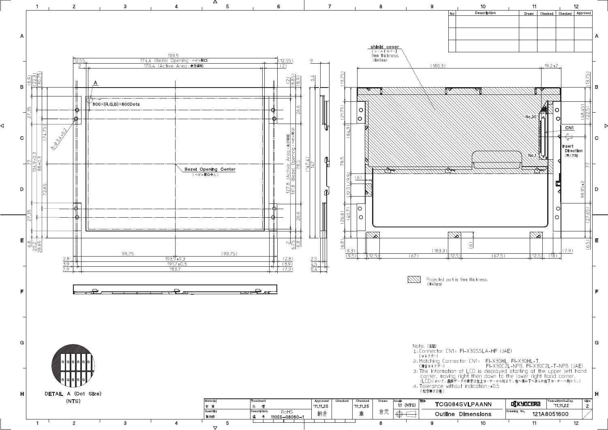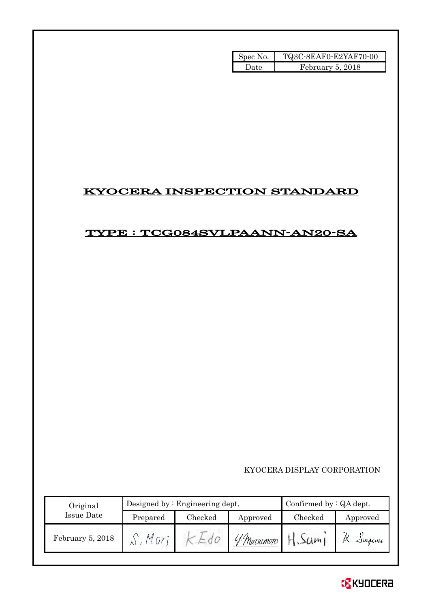| Spec No. | TQ3C-8EAF0-E2YAF70-00 |
|----------|-----------------------|
| l Iate   | February 5, 2018      |

# KYOCERA INSPECTION STANDARD

## TYPE : TCG084SVLPAANN-AN20-SA

KYOCERA DISPLAY CORPORATION

| Original         |            | Designed by $:$ Engineering dept. | Confirmed by $:QA$ dept. |         |                   |
|------------------|------------|-----------------------------------|--------------------------|---------|-------------------|
| Issue Date       | Prepared   | Checked                           | Approved                 | Checked | Approved          |
| February 5, 2018 | М<br>$n^2$ | $\overline{\phantom{0}}$          | 4 Matximoto              | H.Sum1  | $\alpha$ . Jugemi |

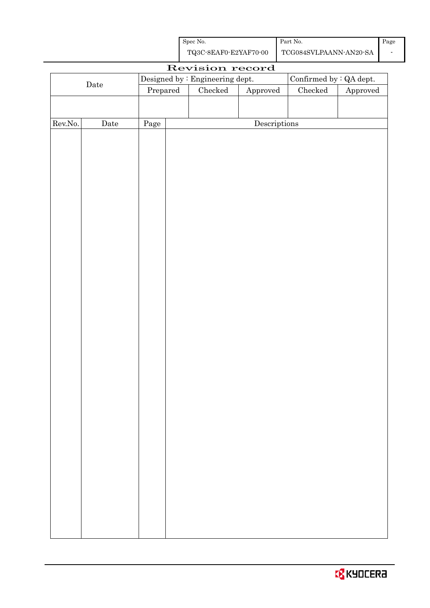| Spec No.              | Part No.               | Page |
|-----------------------|------------------------|------|
| TQ3C-8EAF0-E2YAF70-00 | TCG084SVLPAANN-AN20-SA |      |

|         | Revision record |                                  |  |                                 |                                      |                                |          |
|---------|-----------------|----------------------------------|--|---------------------------------|--------------------------------------|--------------------------------|----------|
|         |                 |                                  |  | Designed by : Engineering dept. |                                      | Confirmed by $\colon$ QA dept. |          |
|         | $\rm{Date}$     | $\ensuremath{\mathrm{Prepared}}$ |  | $\rm Checked$                   | Approved                             | $\rm Checked$                  | Approved |
|         |                 |                                  |  |                                 |                                      |                                |          |
|         |                 |                                  |  |                                 |                                      |                                |          |
| Rev.No. | Date            | Page                             |  |                                 | $\label{eq:2} \textbf{Descriptions}$ |                                |          |
|         |                 |                                  |  |                                 |                                      |                                |          |
|         |                 |                                  |  |                                 |                                      |                                |          |
|         |                 |                                  |  |                                 |                                      |                                |          |
|         |                 |                                  |  |                                 |                                      |                                |          |
|         |                 |                                  |  |                                 |                                      |                                |          |
|         |                 |                                  |  |                                 |                                      |                                |          |
|         |                 |                                  |  |                                 |                                      |                                |          |
|         |                 |                                  |  |                                 |                                      |                                |          |
|         |                 |                                  |  |                                 |                                      |                                |          |
|         |                 |                                  |  |                                 |                                      |                                |          |
|         |                 |                                  |  |                                 |                                      |                                |          |
|         |                 |                                  |  |                                 |                                      |                                |          |
|         |                 |                                  |  |                                 |                                      |                                |          |
|         |                 |                                  |  |                                 |                                      |                                |          |
|         |                 |                                  |  |                                 |                                      |                                |          |
|         |                 |                                  |  |                                 |                                      |                                |          |
|         |                 |                                  |  |                                 |                                      |                                |          |
|         |                 |                                  |  |                                 |                                      |                                |          |
|         |                 |                                  |  |                                 |                                      |                                |          |
|         |                 |                                  |  |                                 |                                      |                                |          |
|         |                 |                                  |  |                                 |                                      |                                |          |
|         |                 |                                  |  |                                 |                                      |                                |          |
|         |                 |                                  |  |                                 |                                      |                                |          |
|         |                 |                                  |  |                                 |                                      |                                |          |
|         |                 |                                  |  |                                 |                                      |                                |          |
|         |                 |                                  |  |                                 |                                      |                                |          |
|         |                 |                                  |  |                                 |                                      |                                |          |
|         |                 |                                  |  |                                 |                                      |                                |          |
|         |                 |                                  |  |                                 |                                      |                                |          |
|         |                 |                                  |  |                                 |                                      |                                |          |
|         |                 |                                  |  |                                 |                                      |                                |          |
|         |                 |                                  |  |                                 |                                      |                                |          |
|         |                 |                                  |  |                                 |                                      |                                |          |
|         |                 |                                  |  |                                 |                                      |                                |          |
|         |                 |                                  |  |                                 |                                      |                                |          |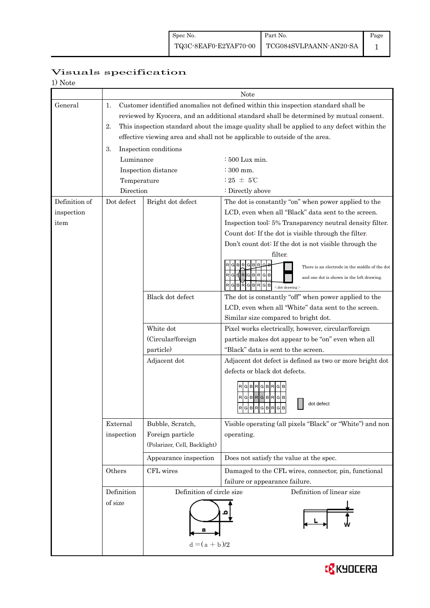# Page

## 1

## Visuals specification

| $\cdots$ |  |
|----------|--|
|          |  |

|               | Note                                                                                                                                                                                                                                                                                                                                                                                                |                              |                                                                                                                                                                                                          |  |  |  |
|---------------|-----------------------------------------------------------------------------------------------------------------------------------------------------------------------------------------------------------------------------------------------------------------------------------------------------------------------------------------------------------------------------------------------------|------------------------------|----------------------------------------------------------------------------------------------------------------------------------------------------------------------------------------------------------|--|--|--|
| General       | Customer identified anomalies not defined within this inspection standard shall be<br>1.<br>reviewed by Kyocera, and an additional standard shall be determined by mutual consent.<br>2.<br>This inspection standard about the image quality shall be applied to any defect within the<br>effective viewing area and shall not be applicable to outside of the area.<br>3.<br>Inspection conditions |                              |                                                                                                                                                                                                          |  |  |  |
|               | Luminance                                                                                                                                                                                                                                                                                                                                                                                           |                              | : 500 Lux min.                                                                                                                                                                                           |  |  |  |
|               |                                                                                                                                                                                                                                                                                                                                                                                                     | Inspection distance          | $\div 300$ mm.                                                                                                                                                                                           |  |  |  |
|               | Temperature                                                                                                                                                                                                                                                                                                                                                                                         |                              | : 25 $\pm$ 5°C                                                                                                                                                                                           |  |  |  |
|               | Direction                                                                                                                                                                                                                                                                                                                                                                                           |                              | : Directly above                                                                                                                                                                                         |  |  |  |
| Definition of | Dot defect                                                                                                                                                                                                                                                                                                                                                                                          | Bright dot defect            | The dot is constantly "on" when power applied to the                                                                                                                                                     |  |  |  |
| inspection    |                                                                                                                                                                                                                                                                                                                                                                                                     |                              | LCD, even when all "Black" data sent to the screen.                                                                                                                                                      |  |  |  |
| item          |                                                                                                                                                                                                                                                                                                                                                                                                     |                              | Inspection tool: 5% Transparency neutral density filter.                                                                                                                                                 |  |  |  |
|               |                                                                                                                                                                                                                                                                                                                                                                                                     |                              | Count dot: If the dot is visible through the filter.                                                                                                                                                     |  |  |  |
|               |                                                                                                                                                                                                                                                                                                                                                                                                     |                              | Don't count dot: If the dot is not visible through the                                                                                                                                                   |  |  |  |
|               |                                                                                                                                                                                                                                                                                                                                                                                                     |                              | filter.<br>There is an electrode in the middle of the dot<br>$R$ $G$ $B$ $R$ $G$ $B$ $R$ $G$ $B$<br>and one dot is shown in the left drawing.<br>$G$ $B$ $R$<br><b>GBR</b><br>G B<br>$<$ dot drawing $>$ |  |  |  |
|               |                                                                                                                                                                                                                                                                                                                                                                                                     | Black dot defect             | The dot is constantly "off" when power applied to the                                                                                                                                                    |  |  |  |
|               |                                                                                                                                                                                                                                                                                                                                                                                                     |                              | LCD, even when all "White" data sent to the screen.                                                                                                                                                      |  |  |  |
|               |                                                                                                                                                                                                                                                                                                                                                                                                     |                              | Similar size compared to bright dot.                                                                                                                                                                     |  |  |  |
|               |                                                                                                                                                                                                                                                                                                                                                                                                     | White dot                    | Pixel works electrically, however, circular/foreign                                                                                                                                                      |  |  |  |
|               |                                                                                                                                                                                                                                                                                                                                                                                                     | (Circular/foreign            | particle makes dot appear to be "on" even when all                                                                                                                                                       |  |  |  |
|               |                                                                                                                                                                                                                                                                                                                                                                                                     | particle)                    | "Black" data is sent to the screen.                                                                                                                                                                      |  |  |  |
|               |                                                                                                                                                                                                                                                                                                                                                                                                     | Adjacent dot                 | Adjacent dot defect is defined as two or more bright dot                                                                                                                                                 |  |  |  |
|               |                                                                                                                                                                                                                                                                                                                                                                                                     |                              | defects or black dot defects.                                                                                                                                                                            |  |  |  |
|               |                                                                                                                                                                                                                                                                                                                                                                                                     |                              | GBRGBR<br>RGBRGBRGB<br>dot defect<br> R G B R G B R G B<br><u> 11 - 11 - 11 - 11 - 11 - 1</u>                                                                                                            |  |  |  |
|               | External                                                                                                                                                                                                                                                                                                                                                                                            | Bubble, Scratch,             | Visible operating (all pixels "Black" or "White") and non                                                                                                                                                |  |  |  |
|               | inspection                                                                                                                                                                                                                                                                                                                                                                                          | Foreign particle             | operating.                                                                                                                                                                                               |  |  |  |
|               |                                                                                                                                                                                                                                                                                                                                                                                                     | (Polarizer, Cell, Backlight) |                                                                                                                                                                                                          |  |  |  |
|               |                                                                                                                                                                                                                                                                                                                                                                                                     | Appearance inspection        | Does not satisfy the value at the spec.                                                                                                                                                                  |  |  |  |
|               | Others                                                                                                                                                                                                                                                                                                                                                                                              | CFL wires                    | Damaged to the CFL wires, connector, pin, functional                                                                                                                                                     |  |  |  |
|               |                                                                                                                                                                                                                                                                                                                                                                                                     |                              | failure or appearance failure.                                                                                                                                                                           |  |  |  |
|               | Definition                                                                                                                                                                                                                                                                                                                                                                                          | Definition of circle size    | Definition of linear size                                                                                                                                                                                |  |  |  |
|               | of size                                                                                                                                                                                                                                                                                                                                                                                             | $d = (a + b)/2$              |                                                                                                                                                                                                          |  |  |  |